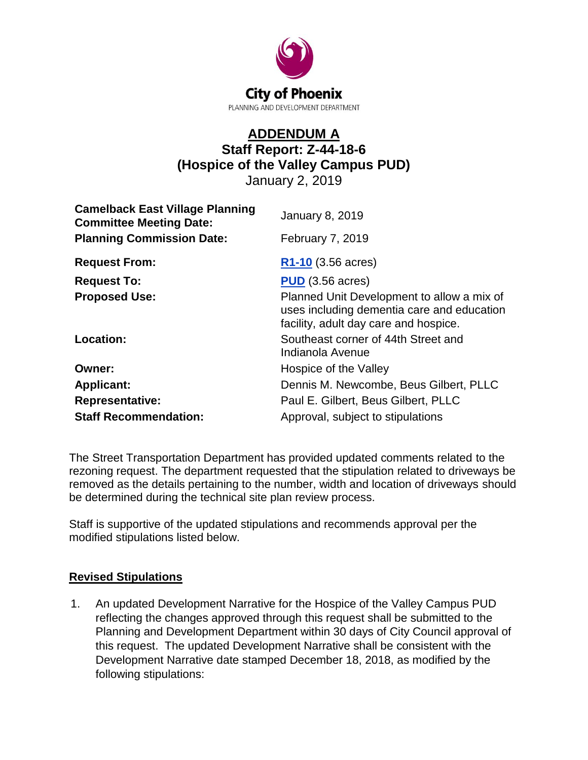

## **ADDENDUM A Staff Report: Z-44-18-6 (Hospice of the Valley Campus PUD)** January 2, 2019

| <b>Camelback East Village Planning</b><br><b>Committee Meeting Date:</b><br><b>Planning Commission Date:</b> | <b>January 8, 2019</b><br><b>February 7, 2019</b>                                                                                 |
|--------------------------------------------------------------------------------------------------------------|-----------------------------------------------------------------------------------------------------------------------------------|
| <b>Request From:</b>                                                                                         | $R1-10$ (3.56 acres)                                                                                                              |
| <b>Request To:</b>                                                                                           | <b>PUD</b> (3.56 acres)                                                                                                           |
| <b>Proposed Use:</b>                                                                                         | Planned Unit Development to allow a mix of<br>uses including dementia care and education<br>facility, adult day care and hospice. |
| Location:                                                                                                    | Southeast corner of 44th Street and<br>Indianola Avenue                                                                           |
| Owner:                                                                                                       | Hospice of the Valley                                                                                                             |
| <b>Applicant:</b>                                                                                            | Dennis M. Newcombe, Beus Gilbert, PLLC                                                                                            |
| <b>Representative:</b>                                                                                       | Paul E. Gilbert, Beus Gilbert, PLLC                                                                                               |
| <b>Staff Recommendation:</b>                                                                                 | Approval, subject to stipulations                                                                                                 |

The Street Transportation Department has provided updated comments related to the rezoning request. The department requested that the stipulation related to driveways be removed as the details pertaining to the number, width and location of driveways should be determined during the technical site plan review process.

Staff is supportive of the updated stipulations and recommends approval per the modified stipulations listed below.

## **Revised Stipulations**

1. An updated Development Narrative for the Hospice of the Valley Campus PUD reflecting the changes approved through this request shall be submitted to the Planning and Development Department within 30 days of City Council approval of this request. The updated Development Narrative shall be consistent with the Development Narrative date stamped December 18, 2018, as modified by the following stipulations: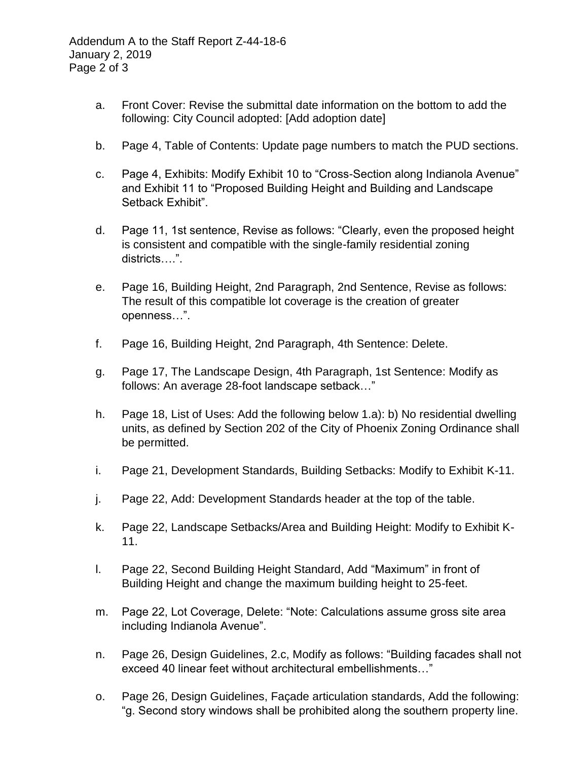- a. Front Cover: Revise the submittal date information on the bottom to add the following: City Council adopted: [Add adoption date]
- b. Page 4, Table of Contents: Update page numbers to match the PUD sections.
- c. Page 4, Exhibits: Modify Exhibit 10 to "Cross-Section along Indianola Avenue" and Exhibit 11 to "Proposed Building Height and Building and Landscape Setback Exhibit".
- d. Page 11, 1st sentence, Revise as follows: "Clearly, even the proposed height is consistent and compatible with the single-family residential zoning districts….".
- e. Page 16, Building Height, 2nd Paragraph, 2nd Sentence, Revise as follows: The result of this compatible lot coverage is the creation of greater openness…".
- f. Page 16, Building Height, 2nd Paragraph, 4th Sentence: Delete.
- g. Page 17, The Landscape Design, 4th Paragraph, 1st Sentence: Modify as follows: An average 28-foot landscape setback…"
- h. Page 18, List of Uses: Add the following below 1.a): b) No residential dwelling units, as defined by Section 202 of the City of Phoenix Zoning Ordinance shall be permitted.
- i. Page 21, Development Standards, Building Setbacks: Modify to Exhibit K-11.
- j. Page 22, Add: Development Standards header at the top of the table.
- k. Page 22, Landscape Setbacks/Area and Building Height: Modify to Exhibit K-11.
- l. Page 22, Second Building Height Standard, Add "Maximum" in front of Building Height and change the maximum building height to 25-feet.
- m. Page 22, Lot Coverage, Delete: "Note: Calculations assume gross site area including Indianola Avenue".
- n. Page 26, Design Guidelines, 2.c, Modify as follows: "Building facades shall not exceed 40 linear feet without architectural embellishments…"
- o. Page 26, Design Guidelines, Façade articulation standards, Add the following: "g. Second story windows shall be prohibited along the southern property line.